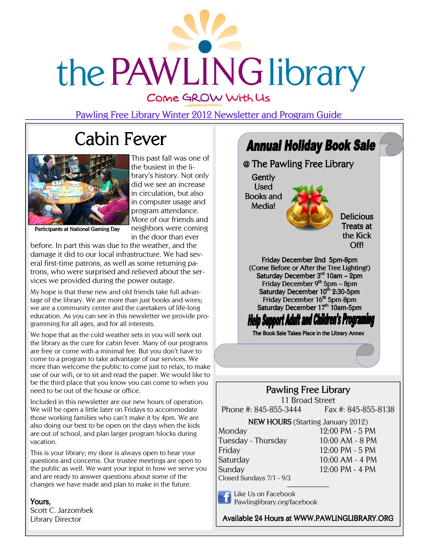

Pawling Free Library Winter 2012 Newsletter and Program Guide

# Cabin Fever



This past fall was one of the busiest in the library's history. Not only did we see an increase in circulation, but also in computer usage and program attendance. More of our friends and neighbors were coming in the door than ever

Participants at National Gaming Day

before. In part this was due to the weather, and the damage it did to our local infrastructure. We had several first-time patrons, as well as some returning patrons, who were surprised and relieved about the services we provided during the power outage.

My hope is that these new and old friends take full advantage of the library. We are more than just books and wires; we are a community center and the caretakers of life-long education. As you can see in this newsletter we provide programming for all ages, and for all interests.

We hope that as the cold weather sets in you will seek out the library as the cure for cabin fever. Many of our programs are free or come with a minimal fee. But you don't have to come to a program to take advantage of our services. We more than welcome the public to come just to relax, to make use of our wifi, or to sit and read the paper. We would like to be the third place that you know you can come to when you need to be out of the house or office.

Included in this newsletter are our new hours of operation. We will be open a little later on Fridays to accommodate those working families who can't make it by 4pm. We are also doing our best to be open on the days when the kids are out of school, and plan larger program blocks during vacation.

This is your library; my door is always open to hear your questions and concerns. Our trustee meetings are open to the public as well. We want your input in how we serve you and are ready to answer questions about some of the changes we have made and plan to make in the future.

Yours, Scott C. Jarzombek Library Director



Closed Sundays 7/1 - 9/3  $\overline{\phantom{a}}$ 

Like Us on Facebook Pawlinglibrary.org/facebook

Available 24 Hours at WWW.PAWLINGLIBRARY.ORG 24 Hours at WWW.PAWLINGLIBRARY.ORG

Sunday 12:00 PM - 4 PM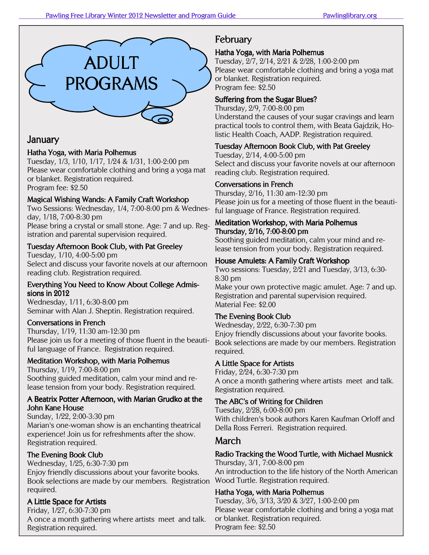

## January

### Hatha Yoga, with Maria Polhemus

Tuesday, 1/3, 1/10, 1/17, 1/24 & 1/31, 1:00-2:00 pm Please wear comfortable clothing and bring a yoga mat or blanket. Registration required. Program fee: \$2.50

#### Magical Wishing Wands: A Family Craft Workshop

Two Sessions: Wednesday, 1/4, 7:00-8:00 pm & Wednesday, 1/18, 7:00-8:30 pm

Please bring a crystal or small stone. Age: 7 and up. Registration and parental supervision required.

#### Tuesday Afternoon Book Club, with Pat Greeley

Tuesday, 1/10, 4:00-5:00 pm Select and discuss your favorite novels at our afternoon reading club. Registration required.

#### Everything You Need to Know About College Admissions in  $2012$

Wednesday, 1/11, 6:30-8:00 pm Seminar with Alan J. Sheptin. Registration required.

#### Conversations in French

Thursday, 1/19, 11:30 am-12:30 pm Please join us for a meeting of those fluent in the beautiful language of France. Registration required.

#### Meditation Workshop, with Maria Polhemus

Thursday, 1/19, 7:00-8:00 pm Soothing guided meditation, calm your mind and release tension from your body. Registration required.

#### A Beatrix Potter Afternoon, with Marian Grudko at the John Kane House

Sunday, 1/22, 2:00-3:30 pm Marian's one-woman show is an enchanting theatrical experience! Join us for refreshments after the show. Registration required.

#### The Evening Book Club

Wednesday, 1/25, 6:30-7:30 pm Enjoy friendly discussions about your favorite books. Book selections are made by our members. Registration required.

#### A Little Space for Artists

Friday, 1/27, 6:30-7:30 pm A once a month gathering where artists meet and talk. Registration required.

# February February

#### Hatha Yoga, with Maria Polhemus

Tuesday, 2/7, 2/14, 2/21 & 2/28, 1:00-2:00 pm Please wear comfortable clothing and bring a yoga mat or blanket. Registration required. Program fee: \$2.50

#### Suffering from the Sugar Blues?

Thursday, 2/9, 7:00-8:00 pm Understand the causes of your sugar cravings and learn practical tools to control them, with Beata Gajdzik, Holistic Health Coach, AADP. Registration required.

#### Tuesday Afternoon Book Club, with Pat Greeley

Tuesday, 2/14, 4:00-5:00 pm Select and discuss your favorite novels at our afternoon reading club. Registration required.

#### Conversations in French

Thursday, 2/16, 11:30 am-12:30 pm Please join us for a meeting of those fluent in the beautiful language of France. Registration required.

#### Meditation Workshop, with Maria Polhemus Thursday, 2/16, 7:00-8:00 pm

Soothing guided meditation, calm your mind and release tension from your body. Registration required.

#### House Amulets: A Family Craft Workshop

Two sessions: Tuesday, 2/21 and Tuesday, 3/13, 6:30- 8:30 pm

Make your own protective magic amulet. Age: 7 and up. Registration and parental supervision required. Material Fee: \$2.00

#### The Evening Book Club

Wednesday, 2/22, 6:30-7:30 pm Enjoy friendly discussions about your favorite books. Book selections are made by our members. Registration required.

#### A Little Space for Artists

Friday, 2/24, 6:30-7:30 pm A once a month gathering where artists meet and talk. Registration required.

### The ABC's of Writing for Children

Tuesday, 2/28, 6:00-8:00 pm With children's book authors Karen Kaufman Orloff and Della Ross Ferreri. Registration required.

### March

### Radio Tracking the Wood Turtle, with Michael Musnick

Thursday, 3/1, 7:00-8:00 pm An introduction to the life history of the North American Wood Turtle. Registration required.

### Hatha Yoga, with Maria Polhemus

Tuesday, 3/6, 3/13, 3/20 & 3/27, 1:00-2:00 pm Please wear comfortable clothing and bring a yoga mat or blanket. Registration required. Program fee: \$2.50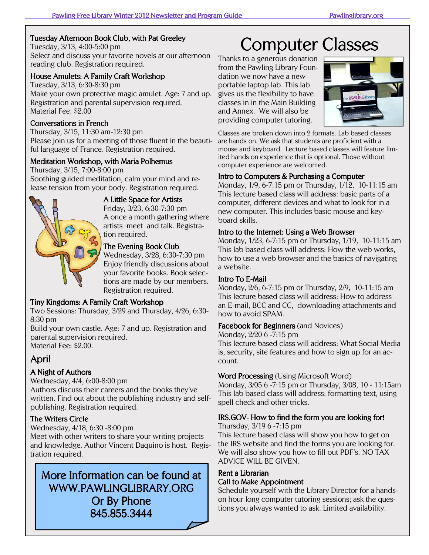#### Tuesday Afternoon Book Club, with Pat Greeley

Tuesday, 3/13, 4:00-5:00 pm Select and discuss your favorite novels at our afternoon reading club. Registration required.

#### House Amulets: A Family Craft Workshop

Tuesday, 3/13, 6:30-8:30 pm Make your own protective magic amulet. Age: 7 and up. Registration and parental supervision required. Material Fee: \$2.00

#### Conversations in French

Thursday, 3/15, 11:30 am-12:30 pm Please join us for a meeting of those fluent in the beautiful language of France. Registration required.

#### Meditation Workshop, with Maria Polhemus

Thursday, 3/15, 7:00-8:00 pm Soothing guided meditation, calm your mind and release tension from your body. Registration required.



A Little Space for Artists

Friday, 3/23, 6:30-7:30 pm A once a month gathering where artists meet and talk. Registration required.

#### The Evening Book Club

Wednesday, 3/28, 6:30-7:30 pm Enjoy friendly discussions about your favorite books. Book selections are made by our members. Registration required.

#### Tiny Kingdoms: A Family Craft Workshop

Two Sessions: Thursday, 3/29 and Thursday, 4/26, 6:30- 8:30 pm

Build your own castle. Age: 7 and up. Registration and parental supervision required. Material Fee: \$2.00.

# April

#### A Night of Authors

Wednesday, 4/4, 6:00-8:00 pm

Authors discuss their careers and the books they've written. Find out about the publishing industry and selfpublishing. Registration required.

#### The Writers Circle

Wednesday, 4/18, 6:30 -8:00 pm

Meet with other writers to share your writing projects and knowledge. Author Vincent Daquino is host. Registration required.

# More Information can be found at WWW.PAWLINGLIBRARY.ORG Or By Phone 845.855.3444

# Computer Classes

Thanks to a generous donation from the Pawling Library Foundation we now have a new portable laptop lab. This lab gives us the flexibility to have classes in in the Main Building and Annex. We will also be providing computer tutoring.



Classes are broken down into 2 formats. Lab based classes are hands on. We ask that students are proficient with a mouse and keyboard. Lecture based classes will feature limited hands on experience that is optional. Those without computer experience are welcomed.

#### Intro to Computers & Purchasing a Computer

Monday, 1/9, 6-7:15 pm or Thursday, 1/12, 10-11:15 am This lecture based class will address: basic parts of a computer, different devices and what to look for in a new computer. This includes basic mouse and keyboard skills.

#### Intro to the Internet: Using a Web Browser

Monday, 1/23, 6-7:15 pm or Thursday, 1/19, 10-11:15 am This lab based class will address: How the web works, how to use a web browser and the basics of navigating a website.

#### Intro To E-Mail

Monday, 2/6, 6-7:15 pm or Thursday, 2/9, 10-11:15 am This lecture based class will address: How to address an E-mail, BCC and CC, downloading attachments and how to avoid SPAM.

#### Facebook for Beginners (and Novices)

Monday, 2/20 6 -7:15 pm

This lecture based class will address: What Social Media is, security, site features and how to sign up for an account.

#### **Word Processing** (Using Microsoft Word)

Monday, 3/05 6 -7:15 pm or Thursday, 3/08, 10 - 11:15am This lab based class will address: formatting text, using spell check and other tricks.

### IRS.GOV- How to find the form you are looking for!

Thursday, 3/19 6 -7:15 pm

This lecture based class will show you how to get on the IRS website and find the forms you are looking for. We will also show you how to fill out PDF's. NO TAX ADVICE WILL BE GIVEN.

#### Rent a Librarian Call to Make Appointment

Schedule yourself with the Library Director for a handson hour long computer tutoring sessions; ask the questions you always wanted to ask. Limited availability.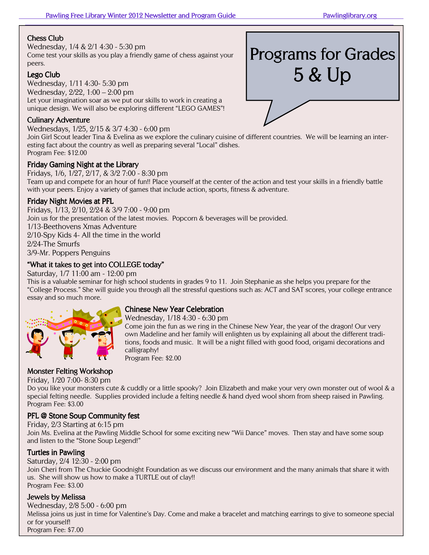#### **Chess Club**

Wednesday, 1/4 & 2/1 4:30 - 5:30 pm Come test your skills as you play a friendly game of chess against your peers.

#### Lego Club

Wednesday, 1/11 4:30- 5:30 pm Wednesday, 2/22, 1:00 – 2:00 pm Let your imagination soar as we put our skills to work in creating a unique design. We will also be exploring different "LEGO GAMES"!

#### Culinary Adventure

Wednesdays, 1/25, 2/15 & 3/7 4:30 - 6:00 pm Join Girl Scout leader Tina & Evelina as we explore the culinary cuisine of different countries. We will be learning an interesting fact about the country as well as preparing several "Local" dishes. Program Fee: \$12.00

#### Friday Gaming Night at the Library

Fridays, 1/6, 1/27, 2/17, & 3/2 7:00 - 8:30 pm Team up and compete for an hour of fun!! Place yourself at the center of the action and test your skills in a friendly battle with your peers. Enjoy a variety of games that include action, sports, fitness & adventure.

#### Friday Night Movies at PFL

Fridays, 1/13, 2/10, 2/24 & 3/9 7:00 - 9:00 pm Join us for the presentation of the latest movies. Popcorn & beverages will be provided. 1/13-Beethovens Xmas Adventure 2/10-Spy Kids 4- All the time in the world 2/24-The Smurfs 3/9-Mr. Poppers Penguins

#### "What it takes to get into COLLEGE today"

Saturday, 1/7 11:00 am - 12:00 pm

This is a valuable seminar for high school students in grades 9 to 11. Join Stephanie as she helps you prepare for the "College Process." She will guide you through all the stressful questions such as: ACT and SAT scores, your college entrance essay and so much more.



#### Chinese New Year Celebration

Wednesday, 1/18 4:30 - 6:30 pm

Come join the fun as we ring in the Chinese New Year, the year of the dragon! Our very own Madeline and her family will enlighten us by explaining all about the different traditions, foods and music. It will be a night filled with good food, origami decorations and calligraphy! Program Fee: \$2.00

#### Monster Felting Workshop

Friday, 1/20 7:00- 8:30 pm

Do you like your monsters cute & cuddly or a little spooky? Join Elizabeth and make your very own monster out of wool & a special felting needle. Supplies provided include a felting needle & hand dyed wool shorn from sheep raised in Pawling. Program Fee: \$3.00

#### PFL @ Stone Soup Community fest

Friday, 2/3 Starting at 6:15 pm Join Ms. Evelina at the Pawling Middle School for some exciting new "Wii Dance" moves. Then stay and have some soup and listen to the "Stone Soup Legend!"

#### **Turtles in Pawling**

Saturday, 2/4 12:30 - 2:00 pm Join Cheri from The Chuckie Goodnight Foundation as we discuss our environment and the many animals that share it with us. She will show us how to make a TURTLE out of clay!! Program Fee: \$3.00

#### Jewels by Melissa

Wednesday, 2/8 5:00 - 6:00 pm Melissa joins us just in time for Valentine's Day. Come and make a bracelet and matching earrings to give to someone special or for yourself! Program Fee: \$7.00

# Programs for Grades 5 & Up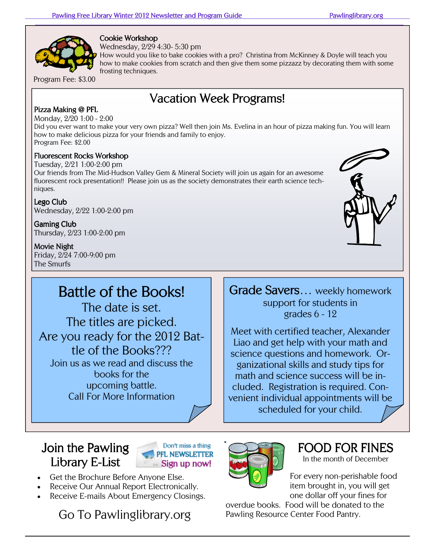

Cookie Workshop

Wednesday, 2/29 4:30- 5:30 pm

How would you like to bake cookies with a pro? Christina from McKinney & Doyle will teach you how to make cookies from scratch and then give them some pizzazz by decorating them with some frosting techniques.

Program Fee: \$3.00

# Vacation Week Programs!

#### Pizza Making @ PFL

Monday, 2/20 1:00 - 2:00

Did you ever want to make your very own pizza? Well then join Ms. Evelina in an hour of pizza making fun. You will learn how to make delicious pizza for your friends and family to enjoy. Program Fee: \$2.00

#### Fluorescent Rocks Workshop

Tuesday, 2/21 1:00-2:00 pm Our friends from The Mid-Hudson Valley Gem & Mineral Society will join us again for an awesome fluorescent rock presentation!! Please join us as the society demonstrates their earth science techniques.

Lego Club Wednesday, 2/22 1:00-2:00 pm

Gaming Club Thursday, 2/23 1:00-2:00 pm

Movie Night

Friday, 2/24 7:00-9:00 pm The Smurfs

# Battle of the Books!

The date is set. The titles are picked. Are you ready for the 2012 Battle of the Books??? Join us as we read and discuss the books for the upcoming battle. Call For More Information



Grade Savers... weekly homework support for students in grades 6 - 12

Meet with certified teacher, Alexander Liao and get help with your math and science questions and homework. Organizational skills and study tips for math and science success will be included. Registration is required. Convenient individual appointments will be scheduled for your child.

# Join the Pawling Library E-List



- Get the Brochure Before Anyone Else.
- Receive Our Annual Report Electronically.
- Receive E-mails About Emergency Closings.

Go To Pawlinglibrary.org



# FOOD FOR FINES

In the month of December

For every non-perishable food item brought in, you will get one dollar off your fines for

overdue books. Food will be donated to the Pawling Resource Center Food Pantry.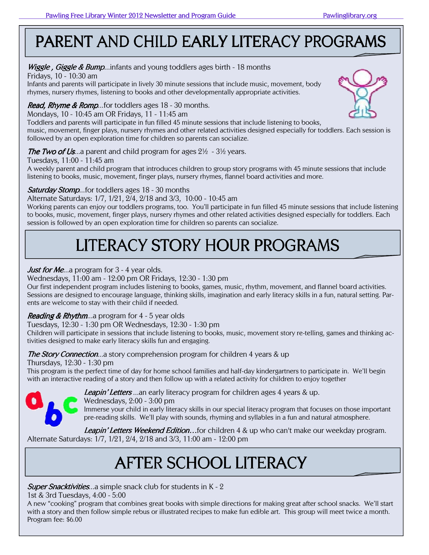# PARENT AND CHILD EARLY LITERACY PROGRAMS

### *Wiggle , Giggle & Bump*...infants and young toddlers ages birth - 18 months

Fridays, 10 - 10:30 am

Infants and parents will participate in lively 30 minute sessions that include music, movement, body rhymes, nursery rhymes, listening to books and other developmentally appropriate activities.

## Read, Rhyme & Romp...for toddlers ages 18 - 30 months.

Mondays, 10 - 10:45 am OR Fridays, 11 - 11:45 am

Toddlers and parents will participate in fun filled 45 minute sessions that include listening to books, music, movement, finger plays, nursery rhymes and other related activities designed especially for toddlers. Each session is followed by an open exploration time for children so parents can socialize.

## The Two of Us...a parent and child program for ages  $2\frac{1}{2}$  -  $3\frac{1}{2}$  years.

Tuesdays, 11:00 - 11:45 am

A weekly parent and child program that introduces children to group story programs with 45 minute sessions that include listening to books, music, movement, finger plays, nursery rhymes, flannel board activities and more.

## **Saturday Stomp...for toddlers ages 18 - 30 months**

Alternate Saturdays: 1/7, 1/21, 2/4, 2/18 and 3/3, 10:00 - 10:45 am

Working parents can enjoy our toddlers programs, too. You'll participate in fun filled 45 minute sessions that include listening to books, music, movement, finger plays, nursery rhymes and other related activities designed especially for toddlers. Each session is followed by an open exploration time for children so parents can socialize.

# LITERACY STORY HOUR PROGRAMS

# *Just for Me...a* program for 3 - 4 year olds.

### Wednesdays, 11:00 am - 12:00 pm OR Fridays, 12:30 - 1:30 pm

Our first independent program includes listening to books, games, music, rhythm, movement, and flannel board activities. Sessions are designed to encourage language, thinking skills, imagination and early literacy skills in a fun, natural setting. Parents are welcome to stay with their child if needed.

## Reading & Rhythm...a program for 4 - 5 year olds

Tuesdays, 12:30 - 1:30 pm OR Wednesdays, 12:30 - 1:30 pm

Children will participate in sessions that include listening to books, music, movement story re-telling, games and thinking activities designed to make early literacy skills fun and engaging.

### **The Story Connection**...a story comprehension program for children 4 years & up

Thursdays, 12:30 - 1:30 pm

This program is the perfect time of day for home school families and half-day kindergartners to participate in. We'll begin with an interactive reading of a story and then follow up with a related activity for children to enjoy together



Leapin' Letters ...an early literacy program for children ages 4 years & up.

Wednesdays, 2:00 - 3:00 pm

Immerse your child in early literacy skills in our special literacy program that focuses on those important pre-reading skills. We'll play with sounds, rhyming and syllables in a fun and natural atmosphere.

Leapin' Letters Weekend Edition...for children 4 & up who can't make our weekday program. Alternate Saturdays: 1/7, 1/21, 2/4, 2/18 and 3/3, 11:00 am - 12:00 pm

# AFTER SCHOOL LITERACY

**Super Snacktivities...a** simple snack club for students in K - 2

1st & 3rd Tuesdays, 4:00 - 5:00

A new "cooking" program that combines great books with simple directions for making great after school snacks. We'll start with a story and then follow simple rebus or illustrated recipes to make fun edible art. This group will meet twice a month. Program fee: \$6.00

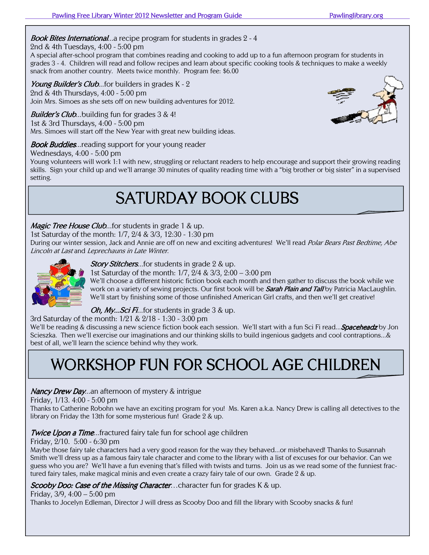### **Book Bites International**...a recipe program for students in grades 2 - 4

#### 2nd & 4th Tuesdays, 4:00 - 5:00 pm

A special after-school program that combines reading and cooking to add up to a fun afternoon program for students in grades 3 - 4. Children will read and follow recipes and learn about specific cooking tools & techniques to make a weekly snack from another country. Meets twice monthly. Program fee: \$6.00

Young Builder's Club...for builders in grades K - 2 2nd & 4th Thursdays, 4:00 - 5:00 pm Join Mrs. Simoes as she sets off on new building adventures for 2012.

**Builder's Club...**building fun for grades  $3 \& 4!$ 1st & 3rd Thursdays, 4:00 - 5:00 pm Mrs. Simoes will start off the New Year with great new building ideas.

#### **Book Buddies**...reading support for your young reader

#### Wednesdays, 4:00 - 5:00 pm

Young volunteers will work 1:1 with new, struggling or reluctant readers to help encourage and support their growing reading skills. Sign your child up and we'll arrange 30 minutes of quality reading time with a "big brother or big sister" in a supervised setting.

# **SATURDAY BOOK CLUBS**

#### **Magic Tree House Club...for students in grade 1 & up.**

1st Saturday of the month: 1/7, 2/4 & 3/3, 12:30 - 1:30 pm

During our winter session, Jack and Annie are off on new and exciting adventures! We'll read Polar Bears Past Bedtime, Abe Lincoln at Last and Leprechauns in Late Winter.



#### Story Stitchers...for students in grade 2 & up.

1st Saturday of the month: 1/7, 2/4 & 3/3, 2:00 – 3:00 pm

We'll choose a different historic fiction book each month and then gather to discuss the book while we work on a variety of sewing projects. Our first book will be **Sarah Plain and Tall** by Patricia MacLaughlin. We'll start by finishing some of those unfinished American Girl crafts, and then we'll get creative!

#### Oh, My...Sci Fi...for students in grade 3 & up.

3rd Saturday of the month: 1/21 & 2/18 - 1:30 - 3:00 pm

We'll be reading & discussing a new science fiction book each session. We'll start with a fun Sci Fi read... **Spaceheadz** by Jon Scieszka. Then we'll exercise our imaginations and our thinking skills to build ingenious gadgets and cool contraptions...& best of all, we'll learn the science behind why they work.

# WORKSHOP FUN FOR SCHOOL AGE CHILDREN

#### Nancy Drew Day...an afternoon of mystery & intrigue

Friday, 1/13. 4:00 - 5:00 pm

Thanks to Catherine Robohn we have an exciting program for you! Ms. Karen a.k.a. Nancy Drew is calling all detectives to the library on Friday the 13th for some mysterious fun! Grade 2 & up.

#### **Twice Upon a Time...fractured fairy tale fun for school age children**

#### Friday, 2/10. 5:00 - 6:30 pm

Maybe those fairy tale characters had a very good reason for the way they behaved...or misbehaved! Thanks to Susannah Smith we'll dress up as a famous fairy tale character and come to the library with a list of excuses for our behavior. Can we guess who you are? We'll have a fun evening that's filled with twists and turns. Join us as we read some of the funniest fractured fairy tales, make magical minis and even create a crazy fairy tale of our own. Grade 2 & up.

#### Scooby Doo: Case of the Missing Character...character fun for grades K & up.

Friday,  $3/9$ ,  $4:00 - 5:00$  pm

Thanks to Jocelyn Edleman, Director J will dress as Scooby Doo and fill the library with Scooby snacks & fun!